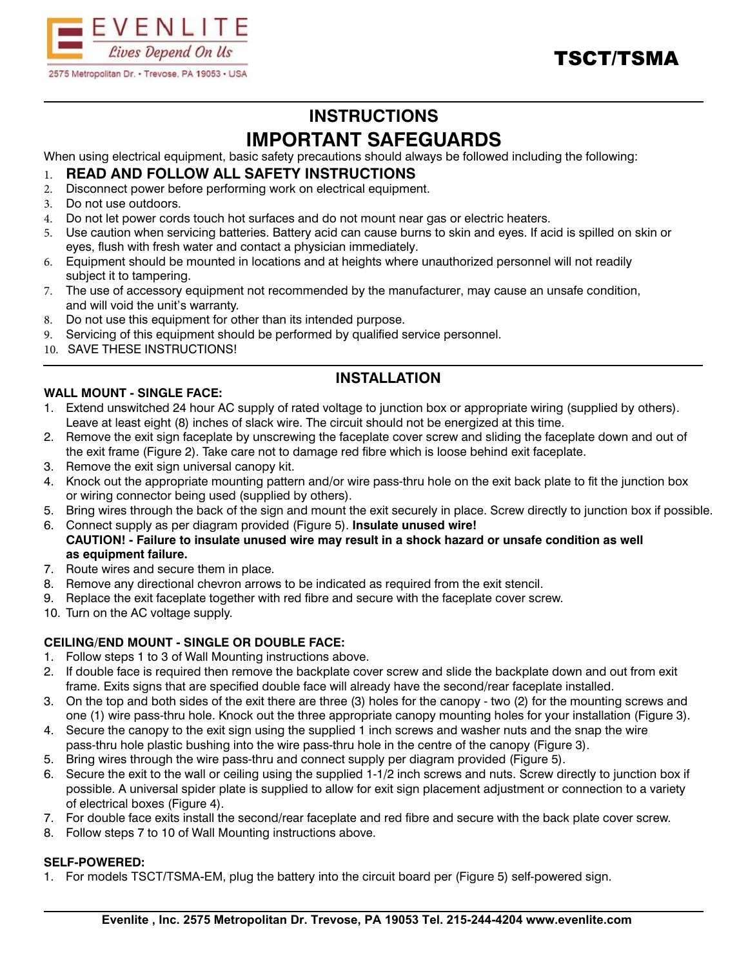



# **INSTRUCTIONS IMPORTANT SAFEGUARDS**

When using electrical equipment, basic safety precautions should always be followed including the following:

### 1. **READ AND FOLLOW ALL SAFETY INSTRUCTIONS**

- 2. Disconnect power before performing work on electrical equipment.
- 3. Do not use outdoors.
- 4. Do not let power cords touch hot surfaces and do not mount near gas or electric heaters.
- 5. Use caution when servicing batteries. Battery acid can cause burns to skin and eyes. If acid is spilled on skin or eyes, flush with fresh water and contact a physician immediately.
- 6. Equipment should be mounted in locations and at heights where unauthorized personnel will not readily subject it to tampering.
- 7. The use of accessory equipment not recommended by the manufacturer, may cause an unsafe condition, and will void the unit's warranty.
- 8. Do not use this equipment for other than its intended purpose.
- 9. Servicing of this equipment should be performed by qualified service personnel.
- 10. SAVE THESE INSTRUCTIONS!

## **INSTALLATION**

#### **WALL MOUNT - SINGLE FACE:**

- 1. Extend unswitched 24 hour AC supply of rated voltage to junction box or appropriate wiring (supplied by others). Leave at least eight (8) inches of slack wire. The circuit should not be energized at this time.
- 2. Remove the exit sign faceplate by unscrewing the faceplate cover screw and sliding the faceplate down and out of the exit frame (Figure 2). Take care not to damage red fibre which is loose behind exit faceplate.
- 3. Remove the exit sign universal canopy kit.
- 4. Knock out the appropriate mounting pattern and/or wire pass-thru hole on the exit back plate to fit the junction box or wiring connector being used (supplied by others).
- 5. Bring wires through the back of the sign and mount the exit securely in place. Screw directly to junction box if possible.
- 6. Connect supply as per diagram provided (Figure 5). **Insulate unused wire! CAUTION! - Failure to insulate unused wire may result in a shock hazard or unsafe condition as well as equipment failure.**
- 7. Route wires and secure them in place.
- 8. Remove any directional chevron arrows to be indicated as required from the exit stencil.
- 9. Replace the exit faceplate together with red fibre and secure with the faceplate cover screw.
- 10. Turn on the AC voltage supply.

#### **CEILING/END MOUNT - SINGLE OR DOUBLE FACE:**

- 1. Follow steps 1 to 3 of Wall Mounting instructions above.
- 2. If double face is required then remove the backplate cover screw and slide the backplate down and out from exit frame. Exits signs that are specified double face will already have the second/rear faceplate installed.
- 3. On the top and both sides of the exit there are three (3) holes for the canopy two (2) for the mounting screws and one (1) wire pass-thru hole. Knock out the three appropriate canopy mounting holes for your installation (Figure 3).
- 4. Secure the canopy to the exit sign using the supplied 1 inch screws and washer nuts and the snap the wire pass-thru hole plastic bushing into the wire pass-thru hole in the centre of the canopy (Figure 3).
- 5. Bring wires through the wire pass-thru and connect supply per diagram provided (Figure 5).
- 6. Secure the exit to the wall or ceiling using the supplied 1-1/2 inch screws and nuts. Screw directly to junction box if possible. A universal spider plate is supplied to allow for exit sign placement adjustment or connection to a variety of electrical boxes (Figure 4).
- 7. For double face exits install the second/rear faceplate and red fibre and secure with the back plate cover screw.
- 8. Follow steps 7 to 10 of Wall Mounting instructions above.

#### **SELF-POWERED:**

1. For models TSCT/TSMA-EM, plug the battery into the circuit board per (Figure 5) self-powered sign.